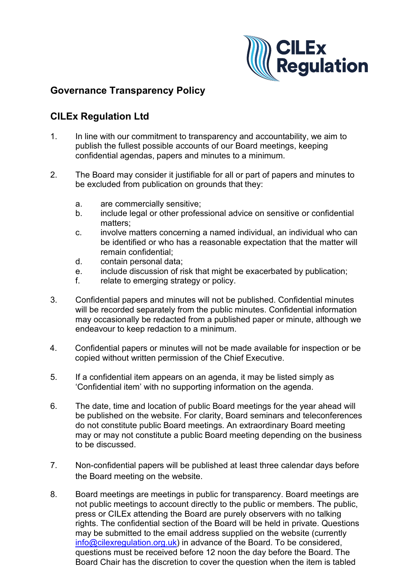

## **Governance Transparency Policy**

## **CILEx Regulation Ltd**

- 1. In line with our commitment to transparency and accountability, we aim to publish the fullest possible accounts of our Board meetings, keeping confidential agendas, papers and minutes to a minimum.
- 2. The Board may consider it justifiable for all or part of papers and minutes to be excluded from publication on grounds that they:
	- a. are commercially sensitive;
	- b. include legal or other professional advice on sensitive or confidential matters;
	- c. involve matters concerning a named individual, an individual who can be identified or who has a reasonable expectation that the matter will remain confidential;
	- d. contain personal data;
	- e. include discussion of risk that might be exacerbated by publication;
	- f. relate to emerging strategy or policy.
- 3. Confidential papers and minutes will not be published. Confidential minutes will be recorded separately from the public minutes. Confidential information may occasionally be redacted from a published paper or minute, although we endeavour to keep redaction to a minimum.
- 4. Confidential papers or minutes will not be made available for inspection or be copied without written permission of the Chief Executive.
- 5. If a confidential item appears on an agenda, it may be listed simply as 'Confidential item' with no supporting information on the agenda.
- 6. The date, time and location of public Board meetings for the year ahead will be published on the website. For clarity, Board seminars and teleconferences do not constitute public Board meetings. An extraordinary Board meeting may or may not constitute a public Board meeting depending on the business to be discussed.
- 7. Non-confidential papers will be published at least three calendar days before the Board meeting on the website.
- 8. Board meetings are meetings in public for transparency. Board meetings are not public meetings to account directly to the public or members. The public, press or CILEx attending the Board are purely observers with no talking rights. The confidential section of the Board will be held in private. Questions may be submitted to the email address supplied on the website (currently [info@cilexregulation.org.uk\)](mailto:info@cilexregulation.org.uk) in advance of the Board. To be considered, questions must be received before 12 noon the day before the Board. The Board Chair has the discretion to cover the question when the item is tabled